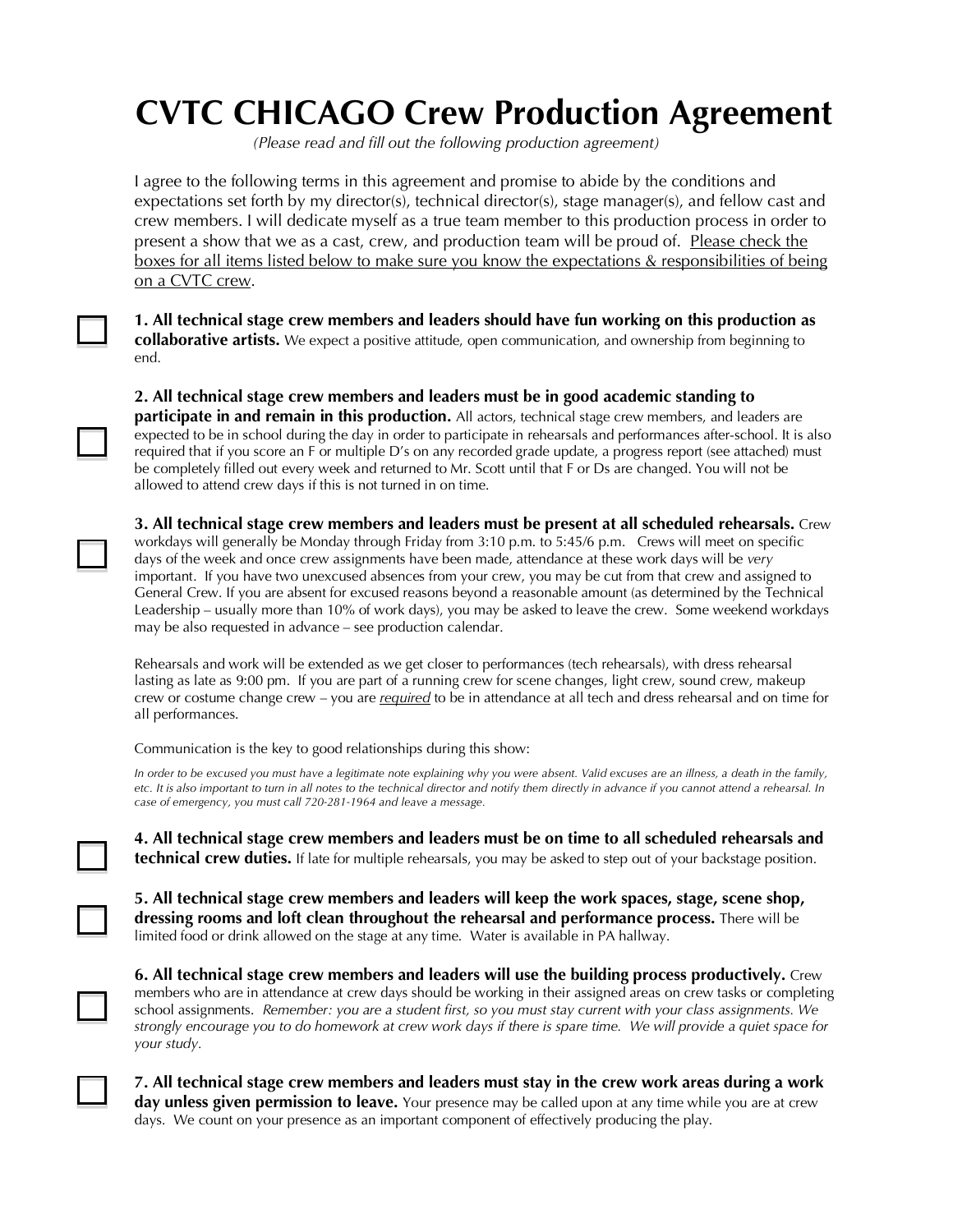## **CVTC CHICAGO Crew Production Agreement**

*(Please read and fill out the following production agreement)*

I agree to the following terms in this agreement and promise to abide by the conditions and expectations set forth by my director(s), technical director(s), stage manager(s), and fellow cast and crew members. I will dedicate myself as a true team member to this production process in order to present a show that we as a cast, crew, and production team will be proud of. Please check the boxes for all items listed below to make sure you know the expectations & responsibilities of being on a CVTC crew.

**1. All technical stage crew members and leaders should have fun working on this production as collaborative artists.** We expect a positive attitude, open communication, and ownership from beginning to end.

**2. All technical stage crew members and leaders must be in good academic standing to** 

**participate in and remain in this production.** All actors, technical stage crew members, and leaders are expected to be in school during the day in order to participate in rehearsals and performances after-school. It is also required that if you score an F or multiple D's on any recorded grade update, a progress report (see attached) must be completely filled out every week and returned to Mr. Scott until that F or Ds are changed. You will not be allowed to attend crew days if this is not turned in on time.

**3. All technical stage crew members and leaders must be present at all scheduled rehearsals.** Crew workdays will generally be Monday through Friday from 3:10 p.m. to 5:45/6 p.m. Crews will meet on specific days of the week and once crew assignments have been made, attendance at these work days will be *very*  important. If you have two unexcused absences from your crew, you may be cut from that crew and assigned to General Crew. If you are absent for excused reasons beyond a reasonable amount (as determined by the Technical Leadership – usually more than 10% of work days), you may be asked to leave the crew. Some weekend workdays may be also requested in advance – see production calendar.

Rehearsals and work will be extended as we get closer to performances (tech rehearsals), with dress rehearsal lasting as late as 9:00 pm. If you are part of a running crew for scene changes, light crew, sound crew, makeup crew or costume change crew – you are *required* to be in attendance at all tech and dress rehearsal and on time for all performances.

Communication is the key to good relationships during this show:

*In order to be excused you must have a legitimate note explaining why you were absent. Valid excuses are an illness, a death in the family, etc. It is also important to turn in all notes to the technical director and notify them directly in advance if you cannot attend a rehearsal. In case of emergency, you must call 720-281-1964 and leave a message.*

**4. All technical stage crew members and leaders must be on time to all scheduled rehearsals and technical crew duties.** If late for multiple rehearsals, you may be asked to step out of your backstage position.

**5. All technical stage crew members and leaders will keep the work spaces, stage, scene shop, dressing rooms and loft clean throughout the rehearsal and performance process.** There will be limited food or drink allowed on the stage at any time. Water is available in PA hallway.

**6. All technical stage crew members and leaders will use the building process productively.** Crew members who are in attendance at crew days should be working in their assigned areas on crew tasks or completing school assignments. *Remember: you are a student first, so you must stay current with your class assignments. We strongly encourage you to do homework at crew work days if there is spare time. We will provide a quiet space for your study.*

**7. All technical stage crew members and leaders must stay in the crew work areas during a work day unless given permission to leave.** Your presence may be called upon at any time while you are at crew days. We count on your presence as an important component of effectively producing the play.